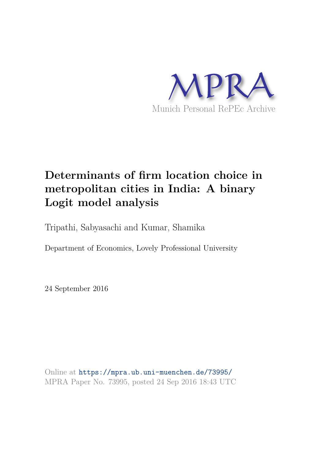

# **Determinants of firm location choice in metropolitan cities in India: A binary Logit model analysis**

Tripathi, Sabyasachi and Kumar, Shamika

Department of Economics, Lovely Professional University

24 September 2016

Online at https://mpra.ub.uni-muenchen.de/73995/ MPRA Paper No. 73995, posted 24 Sep 2016 18:43 UTC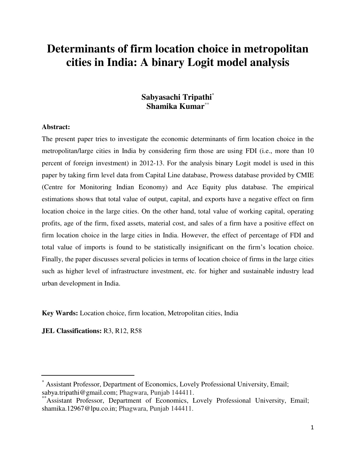## **Determinants of firm location choice in metropolitan cities in India: A binary Logit model analysis**

## **Sabyasachi Tripathi**\* **Shamika Kumar**\*\*

## **Abstract:**

The present paper tries to investigate the economic determinants of firm location choice in the metropolitan/large cities in India by considering firm those are using FDI (i.e., more than 10 percent of foreign investment) in 2012-13. For the analysis binary Logit model is used in this paper by taking firm level data from Capital Line database, Prowess database provided by CMIE (Centre for Monitoring Indian Economy) and Ace Equity plus database. The empirical estimations shows that total value of output, capital, and exports have a negative effect on firm location choice in the large cities. On the other hand, total value of working capital, operating profits, age of the firm, fixed assets, material cost, and sales of a firm have a positive effect on firm location choice in the large cities in India. However, the effect of percentage of FDI and total value of imports is found to be statistically insignificant on the firm's location choice. Finally, the paper discusses several policies in terms of location choice of firms in the large cities such as higher level of infrastructure investment, etc. for higher and sustainable industry lead urban development in India.

**Key Wards:** Location choice, firm location, Metropolitan cities, India

**JEL Classifications:** R3, R12, R58

<sup>\*</sup> Assistant Professor, Department of Economics, Lovely Professional University, Email; sabya.tripathi@gmail.com; Phagwara, Punjab 144411.

<sup>\*</sup>Assistant Professor, Department of Economics, Lovely Professional University, Email; shamika.12967@lpu.co.in; Phagwara, Punjab 144411.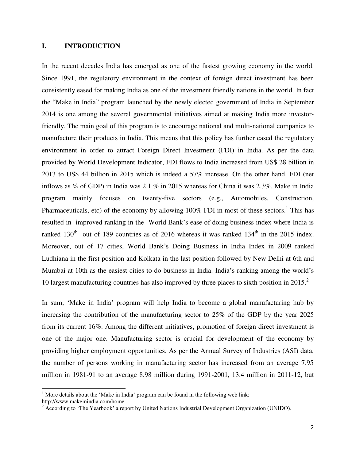## **I. INTRODUCTION**

In the recent decades India has emerged as one of the fastest growing economy in the world. Since 1991, the regulatory environment in the context of foreign direct investment has been consistently eased for making India as one of the investment friendly nations in the world. In fact the "Make in India" program launched by the newly elected government of India in September 2014 is one among the several governmental initiatives aimed at making India more investorfriendly. The main goal of this program is to encourage national and multi-national companies to manufacture their products in India. This means that this policy has further eased the regulatory environment in order to attract Foreign Direct Investment (FDI) in India. As per the data provided by World Development Indicator, FDI flows to India increased from US\$ 28 billion in 2013 to US\$ 44 billion in 2015 which is indeed a 57% increase. On the other hand, FDI (net inflows as % of GDP) in India was 2.1 % in 2015 whereas for China it was 2.3%. Make in India program mainly focuses on twenty-five sectors (e.g., Automobiles, Construction, Pharmaceuticals, etc) of the economy by allowing  $100\%$  FDI in most of these sectors.<sup>1</sup> This has resulted in improved ranking in the World Bank's ease of doing business index where India is ranked  $130<sup>th</sup>$  out of 189 countries as of 2016 whereas it was ranked  $134<sup>th</sup>$  in the 2015 index. Moreover, out of 17 cities, World Bank's Doing Business in India Index in 2009 ranked Ludhiana in the first position and Kolkata in the last position followed by New Delhi at 6th and Mumbai at 10th as the easiest cities to do business in India. India's ranking among the world's 10 largest manufacturing countries has also improved by three places to sixth position in 2015.<sup>2</sup>

In sum, 'Make in India' program will help India to become a global manufacturing hub by increasing the contribution of the manufacturing sector to 25% of the GDP by the year 2025 from its current 16%. Among the different initiatives, promotion of foreign direct investment is one of the major one. Manufacturing sector is crucial for development of the economy by providing higher employment opportunities. As per the Annual Survey of Industries (ASI) data, the number of persons working in manufacturing sector has increased from an average 7.95 million in 1981-91 to an average 8.98 million during 1991-2001, 13.4 million in 2011-12, but

l

 $1$  More details about the 'Make in India' program can be found in the following web link:

http://www.makeinindia.com/home

 $2^{2}$  According to 'The Yearbook' a report by United Nations Industrial Development Organization (UNIDO).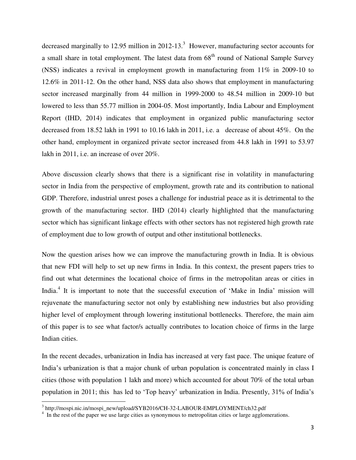decreased marginally to 12.95 million in 2012-13.<sup>3</sup> However, manufacturing sector accounts for a small share in total employment. The latest data from  $68<sup>th</sup>$  round of National Sample Survey (NSS) indicates a revival in employment growth in manufacturing from 11% in 2009-10 to 12.6% in 2011-12. On the other hand, NSS data also shows that employment in manufacturing sector increased marginally from 44 million in 1999-2000 to 48.54 million in 2009-10 but lowered to less than 55.77 million in 2004-05. Most importantly, India Labour and Employment Report (IHD, 2014) indicates that employment in organized public manufacturing sector decreased from 18.52 lakh in 1991 to 10.16 lakh in 2011, i.e. a decrease of about 45%. On the other hand, employment in organized private sector increased from 44.8 lakh in 1991 to 53.97 lakh in 2011, i.e. an increase of over 20%.

Above discussion clearly shows that there is a significant rise in volatility in manufacturing sector in India from the perspective of employment, growth rate and its contribution to national GDP. Therefore, industrial unrest poses a challenge for industrial peace as it is detrimental to the growth of the manufacturing sector. IHD (2014) clearly highlighted that the manufacturing sector which has significant linkage effects with other sectors has not registered high growth rate of employment due to low growth of output and other institutional bottlenecks.

Now the question arises how we can improve the manufacturing growth in India. It is obvious that new FDI will help to set up new firms in India. In this context, the present papers tries to find out what determines the locational choice of firms in the metropolitan areas or cities in India.<sup>4</sup> It is important to note that the successful execution of 'Make in India' mission will rejuvenate the manufacturing sector not only by establishing new industries but also providing higher level of employment through lowering institutional bottlenecks. Therefore, the main aim of this paper is to see what factor/s actually contributes to location choice of firms in the large Indian cities.

In the recent decades, urbanization in India has increased at very fast pace. The unique feature of India's urbanization is that a major chunk of urban population is concentrated mainly in class I cities (those with population 1 lakh and more) which accounted for about 70% of the total urban population in 2011; this has led to 'Top heavy' urbanization in India. Presently, 31% of India's

l

<sup>&</sup>lt;sup>3</sup> http://mospi.nic.in/mospi\_new/upload/SYB2016/CH-32-LABOUR-EMPLOYMENT/ch32.pdf

<sup>&</sup>lt;sup>4</sup> In the rest of the paper we use large cities as synonymous to metropolitan cities or large agglomerations.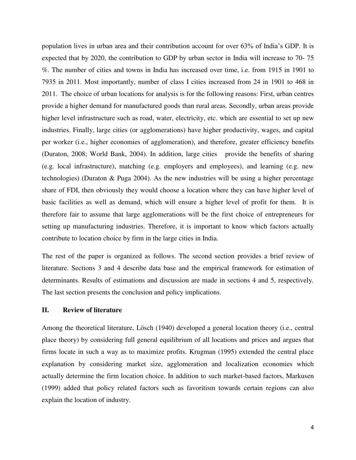population lives in urban area and their contribution account for over 63% of India's GDP. It is expected that by 2020, the contribution to GDP by urban sector in India will increase to 70- 75 %. The number of cities and towns in India has increased over time, i.e. from 1915 in 1901 to 7935 in 2011. Most importantly, number of class I cities increased from 24 in 1901 to 468 in 2011. The choice of urban locations for analysis is for the following reasons: First, urban centres provide a higher demand for manufactured goods than rural areas. Secondly, urban areas provide higher level infrastructure such as road, water, electricity, etc. which are essential to set up new industries. Finally, large cities (or agglomerations) have higher productivity, wages, and capital per worker (i.e., higher economies of agglomeration), and therefore, greater efficiency benefits (Duraton, 2008; World Bank, 2004). In addition, large cities provide the benefits of sharing (e.g. local infrastructure), matching (e.g. employers and employees), and learning (e.g. new technologies) (Duraton & Puga 2004). As the new industries will be using a higher percentage share of FDI, then obviously they would choose a location where they can have higher level of basic facilities as well as demand, which will ensure a higher level of profit for them. It is therefore fair to assume that large agglomerations will be the first choice of entrepreneurs for setting up manufacturing industries. Therefore, it is important to know which factors actually contribute to location choice by firm in the large cities in India.

The rest of the paper is organized as follows. The second section provides a brief review of literature. Sections 3 and 4 describe data base and the empirical framework for estimation of determinants. Results of estimations and discussion are made in sections 4 and 5, respectively. The last section presents the conclusion and policy implications.

## **II. Review of literature**

Among the theoretical literature, Lösch (1940) developed a general location theory (i.e., central place theory) by considering full general equilibrium of all locations and prices and argues that firms locate in such a way as to maximize profits. Krugman (1995) extended the central place explanation by considering market size, agglomeration and localization economies which actually determine the firm location choice. In addition to such market-based factors, Markusen (1999) added that policy related factors such as favoritism towards certain regions can also explain the location of industry.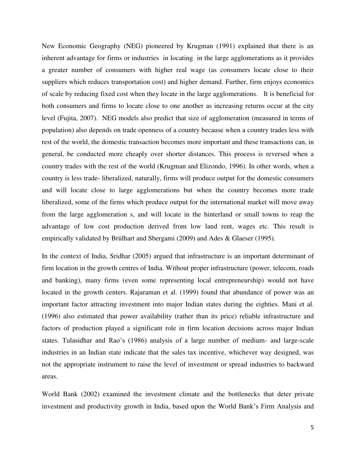New Economic Geography (NEG) pioneered by Krugman (1991) explained that there is an inherent advantage for firms or industries in locating in the large agglomerations as it provides a greater number of consumers with higher real wage (as consumers locate close to their suppliers which reduces transportation cost) and higher demand. Further, firm enjoys economics of scale by reducing fixed cost when they locate in the large agglomerations. It is beneficial for both consumers and firms to locate close to one another as increasing returns occur at the city level (Fujita, 2007). NEG models also predict that size of agglomeration (measured in terms of population) also depends on trade openness of a country because when a country trades less with rest of the world, the domestic transaction becomes more important and these transactions can, in general, be conducted more cheaply over shorter distances. This process is reversed when a country trades with the rest of the world (Krugman and Elizondo, 1996). In other words, when a country is less trade- liberalized, naturally, firms will produce output for the domestic consumers and will locate close to large agglomerations but when the country becomes more trade liberalized, some of the firms which produce output for the international market will move away from the large agglomeration s, and will locate in the hinterland or small towns to reap the advantage of low cost production derived from low land rent, wages etc. This result is empirically validated by Brülhart and Sbergami (2009) and Ades & Glaeser (1995).

In the context of India, Sridhar (2005) argued that infrastructure is an important determinant of firm location in the growth centres of India. Without proper infrastructure (power, telecom, roads and banking), many firms (even some representing local entrepreneurship) would not have located in the growth centers. Rajaraman et al. (1999) found that abundance of power was an important factor attracting investment into major Indian states during the eighties. Mani et al. (1996) also estimated that power availability (rather than its price) reliable infrastructure and factors of production played a significant role in firm location decisions across major Indian states. Tulasidhar and Rao's (1986) analysis of a large number of medium- and large-scale industries in an Indian state indicate that the sales tax incentive, whichever way designed, was not the appropriate instrument to raise the level of investment or spread industries to backward areas.

World Bank (2002) examined the investment climate and the bottlenecks that deter private investment and productivity growth in India, based upon the World Bank's Firm Analysis and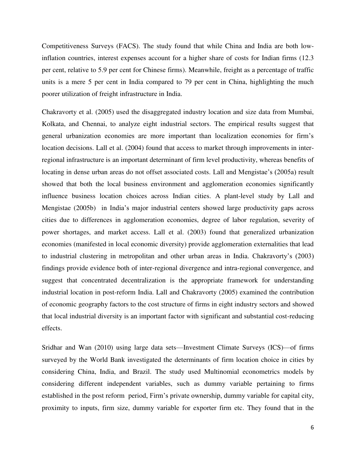Competitiveness Surveys (FACS). The study found that while China and India are both lowinflation countries, interest expenses account for a higher share of costs for Indian firms (12.3 per cent, relative to 5.9 per cent for Chinese firms). Meanwhile, freight as a percentage of traffic units is a mere 5 per cent in India compared to 79 per cent in China, highlighting the much poorer utilization of freight infrastructure in India.

Chakravorty et al. (2005) used the disaggregated industry location and size data from Mumbai, Kolkata, and Chennai, to analyze eight industrial sectors. The empirical results suggest that general urbanization economies are more important than localization economies for firm's location decisions. Lall et al. (2004) found that access to market through improvements in interregional infrastructure is an important determinant of firm level productivity, whereas benefits of locating in dense urban areas do not offset associated costs. Lall and Mengistae's (2005a) result showed that both the local business environment and agglomeration economies significantly influence business location choices across Indian cities. A plant-level study by Lall and Mengistae (2005b) in India's major industrial centers showed large productivity gaps across cities due to differences in agglomeration economies, degree of labor regulation, severity of power shortages, and market access. Lall et al. (2003) found that generalized urbanization economies (manifested in local economic diversity) provide agglomeration externalities that lead to industrial clustering in metropolitan and other urban areas in India. Chakravorty's (2003) findings provide evidence both of inter-regional divergence and intra-regional convergence, and suggest that concentrated decentralization is the appropriate framework for understanding industrial location in post-reform India. Lall and Chakravorty (2005) examined the contribution of economic geography factors to the cost structure of firms in eight industry sectors and showed that local industrial diversity is an important factor with significant and substantial cost-reducing effects.

Sridhar and Wan (2010) using large data sets—Investment Climate Surveys (ICS)—of firms surveyed by the World Bank investigated the determinants of firm location choice in cities by considering China, India, and Brazil. The study used Multinomial econometrics models by considering different independent variables, such as dummy variable pertaining to firms established in the post reform period, Firm's private ownership, dummy variable for capital city, proximity to inputs, firm size, dummy variable for exporter firm etc. They found that in the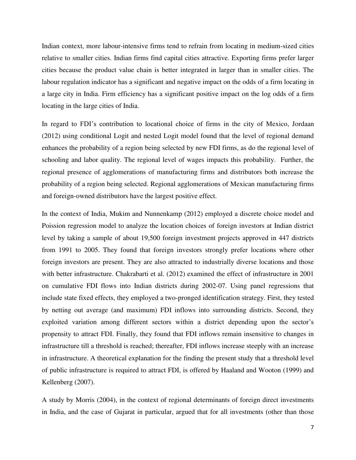Indian context, more labour-intensive firms tend to refrain from locating in medium-sized cities relative to smaller cities. Indian firms find capital cities attractive. Exporting firms prefer larger cities because the product value chain is better integrated in larger than in smaller cities. The labour regulation indicator has a significant and negative impact on the odds of a firm locating in a large city in India. Firm efficiency has a significant positive impact on the log odds of a firm locating in the large cities of India.

In regard to FDI's contribution to locational choice of firms in the city of Mexico, Jordaan (2012) using conditional Logit and nested Logit model found that the level of regional demand enhances the probability of a region being selected by new FDI firms, as do the regional level of schooling and labor quality. The regional level of wages impacts this probability. Further, the regional presence of agglomerations of manufacturing firms and distributors both increase the probability of a region being selected. Regional agglomerations of Mexican manufacturing firms and foreign-owned distributors have the largest positive effect.

In the context of India, Mukim and Nunnenkamp (2012) employed a discrete choice model and Poission regression model to analyze the location choices of foreign investors at Indian district level by taking a sample of about 19,500 foreign investment projects approved in 447 districts from 1991 to 2005. They found that foreign investors strongly prefer locations where other foreign investors are present. They are also attracted to industrially diverse locations and those with better infrastructure. Chakrabarti et al. (2012) examined the effect of infrastructure in 2001 on cumulative FDI flows into Indian districts during 2002-07. Using panel regressions that include state fixed effects, they employed a two-pronged identification strategy. First, they tested by netting out average (and maximum) FDI inflows into surrounding districts. Second, they exploited variation among different sectors within a district depending upon the sector's propensity to attract FDI. Finally, they found that FDI inflows remain insensitive to changes in infrastructure till a threshold is reached; thereafter, FDI inflows increase steeply with an increase in infrastructure. A theoretical explanation for the finding the present study that a threshold level of public infrastructure is required to attract FDI, is offered by Haaland and Wooton (1999) and Kellenberg (2007).

A study by Morris (2004), in the context of regional determinants of foreign direct investments in India, and the case of Gujarat in particular, argued that for all investments (other than those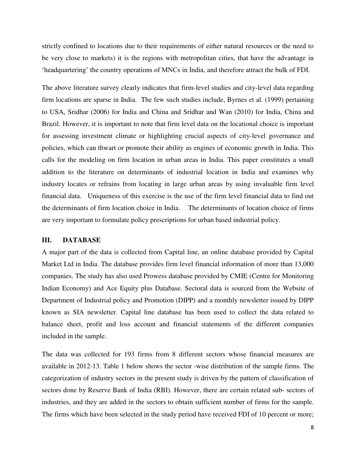strictly confined to locations due to their requirements of either natural resources or the need to be very close to markets) it is the regions with metropolitan cities, that have the advantage in ‗headquartering' the country operations of MNCs in India, and therefore attract the bulk of FDI.

The above literature survey clearly indicates that firm-level studies and city-level data regarding firm locations are sparse in India. The few such studies include, Byrnes et al. (1999) pertaining to USA, Sridhar (2006) for India and China and Sridhar and Wan (2010) for India, China and Brazil. However, it is important to note that firm level data on the locational choice is important for assessing investment climate or highlighting crucial aspects of city-level governance and policies, which can thwart or promote their ability as engines of economic growth in India. This calls for the modeling on firm location in urban areas in India. This paper constitutes a small addition to the literature on determinants of industrial location in India and examines why industry locates or refrains from locating in large urban areas by using invaluable firm level financial data. Uniqueness of this exercise is the use of the firm level financial data to find out the determinants of firm location choice in India. The determinants of location choice of firms are very important to formulate policy prescriptions for urban based industrial policy.

## **III. DATABASE**

A major part of the data is collected from Capital line, an online database provided by Capital Market Ltd in India. The database provides firm level financial information of more than 13,000 companies. The study has also used Prowess database provided by CMIE (Centre for Monitoring Indian Economy) and Ace Equity plus Database. Sectoral data is sourced from the Website of Department of Industrial policy and Promotion (DIPP) and a monthly newsletter issued by DIPP known as SIA newsletter. Capital line database has been used to collect the data related to balance sheet, profit and loss account and financial statements of the different companies included in the sample.

The data was collected for 193 firms from 8 different sectors whose financial measures are available in 2012-13. Table 1 below shows the sector -wise distribution of the sample firms. The categorization of industry sectors in the present study is driven by the pattern of classification of sectors done by Reserve Bank of India (RBI). However, there are certain related sub- sectors of industries, and they are added in the sectors to obtain sufficient number of firms for the sample. The firms which have been selected in the study period have received FDI of 10 percent or more;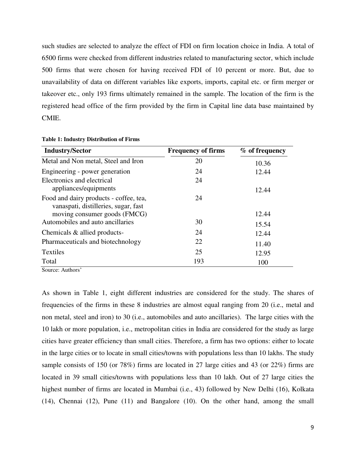such studies are selected to analyze the effect of FDI on firm location choice in India. A total of 6500 firms were checked from different industries related to manufacturing sector, which include 500 firms that were chosen for having received FDI of 10 percent or more. But, due to unavailability of data on different variables like exports, imports, capital etc. or firm merger or takeover etc., only 193 firms ultimately remained in the sample. The location of the firm is the registered head office of the firm provided by the firm in Capital line data base maintained by CMIE.

| <b>Industry/Sector</b>                                                         | <b>Frequency of firms</b> | $%$ of frequency |
|--------------------------------------------------------------------------------|---------------------------|------------------|
| Metal and Non metal, Steel and Iron                                            | 20                        | 10.36            |
| Engineering - power generation                                                 | 24                        | 12.44            |
| Electronics and electrical<br>appliances/equipments                            | 24                        | 12.44            |
| Food and dairy products - coffee, tea,<br>vanaspati, distilleries, sugar, fast | 24                        |                  |
| moving consumer goods (FMCG)                                                   |                           | 12.44            |
| Automobiles and auto ancillaries                                               | 30                        | 15.54            |
| Chemicals & allied products-                                                   | 24                        | 12.44            |
| Pharmaceuticals and biotechnology                                              | 22                        | 11.40            |
| <b>Textiles</b>                                                                | 25                        | 12.95            |
| Total                                                                          | 193                       | 100              |

#### **Table 1: Industry Distribution of Firms**

Source: Authors'

As shown in Table 1, eight different industries are considered for the study. The shares of frequencies of the firms in these 8 industries are almost equal ranging from 20 (i.e., metal and non metal, steel and iron) to 30 (i.e., automobiles and auto ancillaries). The large cities with the 10 lakh or more population, i.e., metropolitan cities in India are considered for the study as large cities have greater efficiency than small cities. Therefore, a firm has two options: either to locate in the large cities or to locate in small cities/towns with populations less than 10 lakhs. The study sample consists of 150 (or 78%) firms are located in 27 large cities and 43 (or 22%) firms are located in 39 small cities/towns with populations less than 10 lakh. Out of 27 large cities the highest number of firms are located in Mumbai (i.e., 43) followed by New Delhi (16), Kolkata (14), Chennai (12), Pune (11) and Bangalore (10). On the other hand, among the small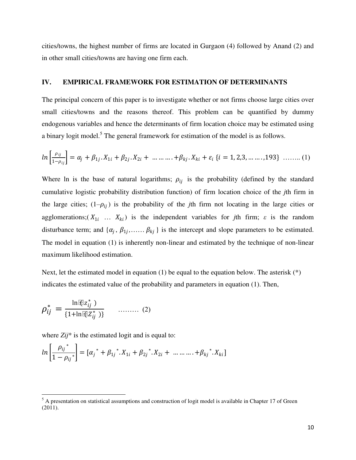cities/towns, the highest number of firms are located in Gurgaon (4) followed by Anand (2) and in other small cities/towns are having one firm each.

## **IV. EMPIRICAL FRAMEWORK FOR ESTIMATION OF DETERMINANTS**

The principal concern of this paper is to investigate whether or not firms choose large cities over small cities/towns and the reasons thereof. This problem can be quantified by dummy endogenous variables and hence the determinants of firm location choice may be estimated using a binary logit model.<sup>5</sup> The general framework for estimation of the model is as follows.

$$
ln\left[\frac{\rho_{ij}}{1-\rho_{ij}}\right] = \alpha_j + \beta_{1j} \cdot X_{1i} + \beta_{2j} \cdot X_{2i} + \dots + \beta_{kj} \cdot X_{ki} + \varepsilon_i \{i = 1, 2, 3, \dots, 193\} \dots \dots (1)
$$

Where ln is the base of natural logarithms;  $\rho_{ij}$  is the probability (defined by the standard cumulative logistic probability distribution function) of firm location choice of the *j*th firm in the large cities;  $(1-\rho_{ii})$  is the probability of the *j*th firm not locating in the large cities or agglomerations;( $X_{1i}$  ...  $X_{ki}$ ) is the independent variables for *j*th firm;  $\varepsilon$  is the random disturbance term; and  $\{\alpha_j, \beta_{1j}, \ldots, \beta_{kj}\}\$  is the intercept and slope parameters to be estimated. The model in equation (1) is inherently non-linear and estimated by the technique of non-linear maximum likelihood estimation.

Next, let the estimated model in equation (1) be equal to the equation below. The asterisk  $(*)$ indicates the estimated value of the probability and parameters in equation (1). Then,

$$
\rho_{ij}^* = \frac{\ln [\mathbb{Q} z_{ij}^* \; )}{\{1 + \ln [\mathbb{Q} z_{ij}^* \; )\}} \qquad \qquad (2)
$$

l

where *Zij*<sup>\*</sup> is the estimated logit and is equal to:

$$
ln\left[\frac{\rho_{ij}^{*}}{1-\rho_{ij}^{*}}\right] = \left[\alpha_j^{*} + \beta_{1j}^{*}.X_{1i} + \beta_{2j}^{*}.X_{2i} + \dots + \beta_{kj}^{*}.X_{ki}\right]
$$

 $<sup>5</sup>$  A presentation on statistical assumptions and construction of logit model is available in Chapter 17 of Green</sup> (2011).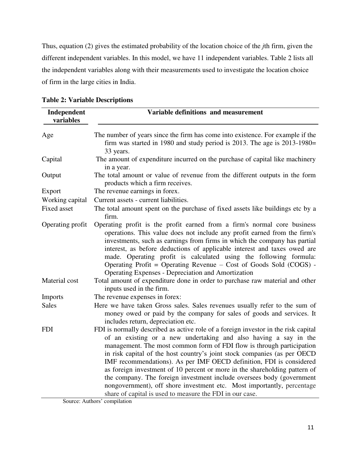Thus, equation (2) gives the estimated probability of the location choice of the *j*th firm, given the different independent variables. In this model, we have 11 independent variables. Table 2 lists all the independent variables along with their measurements used to investigate the location choice of firm in the large cities in India.

| Independent<br>variables | Variable definitions and measurement                                                                                                                                                                                                                                                                                                                                                                                                                                                                                                                                                                                                                                            |
|--------------------------|---------------------------------------------------------------------------------------------------------------------------------------------------------------------------------------------------------------------------------------------------------------------------------------------------------------------------------------------------------------------------------------------------------------------------------------------------------------------------------------------------------------------------------------------------------------------------------------------------------------------------------------------------------------------------------|
| Age                      | The number of years since the firm has come into existence. For example if the<br>firm was started in 1980 and study period is 2013. The age is 2013-1980=<br>33 years.                                                                                                                                                                                                                                                                                                                                                                                                                                                                                                         |
| Capital                  | The amount of expenditure incurred on the purchase of capital like machinery<br>in a year.                                                                                                                                                                                                                                                                                                                                                                                                                                                                                                                                                                                      |
| Output                   | The total amount or value of revenue from the different outputs in the form<br>products which a firm receives.                                                                                                                                                                                                                                                                                                                                                                                                                                                                                                                                                                  |
| Export                   | The revenue earnings in forex.                                                                                                                                                                                                                                                                                                                                                                                                                                                                                                                                                                                                                                                  |
| Working capital          | Current assets - current liabilities.                                                                                                                                                                                                                                                                                                                                                                                                                                                                                                                                                                                                                                           |
| <b>Fixed asset</b>       | The total amount spent on the purchase of fixed assets like buildings etc by a<br>firm.                                                                                                                                                                                                                                                                                                                                                                                                                                                                                                                                                                                         |
| Operating profit         | Operating profit is the profit earned from a firm's normal core business<br>operations. This value does not include any profit earned from the firm's<br>investments, such as earnings from firms in which the company has partial<br>interest, as before deductions of applicable interest and taxes owed are<br>made. Operating profit is calculated using the following formula:<br>Operating Profit = Operating Revenue $-$ Cost of Goods Sold (COGS) $-$<br><b>Operating Expenses - Depreciation and Amortization</b>                                                                                                                                                      |
| Material cost            | Total amount of expenditure done in order to purchase raw material and other<br>inputs used in the firm.                                                                                                                                                                                                                                                                                                                                                                                                                                                                                                                                                                        |
| Imports                  | The revenue expenses in forex:                                                                                                                                                                                                                                                                                                                                                                                                                                                                                                                                                                                                                                                  |
| <b>Sales</b>             | Here we have taken Gross sales. Sales revenues usually refer to the sum of<br>money owed or paid by the company for sales of goods and services. It<br>includes return, depreciation etc.                                                                                                                                                                                                                                                                                                                                                                                                                                                                                       |
| <b>FDI</b>               | FDI is normally described as active role of a foreign investor in the risk capital<br>of an existing or a new undertaking and also having a say in the<br>management. The most common form of FDI flow is through participation<br>in risk capital of the host country's joint stock companies (as per OECD<br>IMF recommendations). As per IMF OECD definition, FDI is considered<br>as foreign investment of 10 percent or more in the shareholding pattern of<br>the company. The foreign investment include oversees body (government<br>nongovernment), off shore investment etc. Most importantly, percentage<br>share of capital is used to measure the FDI in our case. |

**Table 2: Variable Descriptions** 

Source: Authors' compilation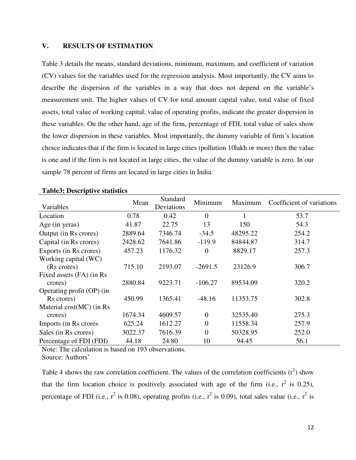## **V. RESULTS OF ESTIMATION**

Table 3 details the means, standard deviations, minimum, maximum, and coefficient of variation (CV) values for the variables used for the regression analysis. Most importantly, the CV aims to describe the dispersion of the variables in a way that does not depend on the variable's measurement unit. The higher values of CV for total amount capital value, total value of fixed assets, total value of working capital, value of operating profits, indicate the greater dispersion in these variables. On the other hand, age of the firm, percentage of FDI, total value of sales show the lower dispersion in these variables. Most importantly, the dummy variable of firm's location choice indicates that if the firm is located in large cities (pollution 10lakh or more) then the value is one and if the firm is not located in large cities, the value of the dummy variable is zero. In our sample 78 percent of firms are located in large cities in India.

| Variables                 | Mean    | Standard<br>Deviations | Minimum        | Maximum  | Coefficient of variations |
|---------------------------|---------|------------------------|----------------|----------|---------------------------|
| Location                  | 0.78    | 0.42                   | $\overline{0}$ |          | 53.7                      |
| Age (in yeras)            | 41.87   | 22.75                  | 13             | 150      | 54.3                      |
| Output (in Rs crores)     | 2889.64 | 7346.74                | $-34.5$        | 48295.22 | 254.2                     |
| Capital (in Rs crores)    | 2428.62 | 7641.86                | $-119.9$       | 84844.87 | 314.7                     |
| Exports (in Rs crores)    | 457.23  | 1176.32                | $\overline{0}$ | 8829.17  | 257.3                     |
| Working capital (WC)      |         |                        |                |          |                           |
| (Rs crores)               | 715.10  | 2193.07                | $-2691.5$      | 23126.9  | 306.7                     |
| Fixed assets (FA) (in Rs  |         |                        |                |          |                           |
| crores)                   | 2880.84 | 9223.71                | $-106.27$      | 89534.09 | 320.2                     |
| Operating profit (OP) (in |         |                        |                |          |                           |
| Rs crores)                | 450.99  | 1365.41                | $-48.16$       | 11353.75 | 302.8                     |
| Material cost(MC) (in Rs  |         |                        |                |          |                           |
| crores)                   | 1674.34 | 4609.57                | $\overline{0}$ | 32535.40 | 275.3                     |
| Imports (in Rs crores     | 625.24  | 1612.27                | $\overline{0}$ | 11558.34 | 257.9                     |
| Sales (in Rs crores)      | 3022.37 | 7616.39                | $\overline{0}$ | 50328.95 | 252.0                     |
| Percentage of FDI (FDI)   | 44.18   | 24.80                  | 10             | 94.45    | 56.1                      |

## **Table3: Descriptive statistics**

Note: The calculation is based on 193 observations. Source: Authors'

Table 4 shows the raw correlation coefficient. The values of the correlation coefficients  $(r^2)$  show that the firm location choice is positively associated with age of the firm (i.e.,  $r^2$  is 0.25), percentage of FDI (i.e.,  $r^2$  is 0.08), operating profits (i.e.,  $r^2$  is 0.09), total sales value (i.e.,  $r^2$  is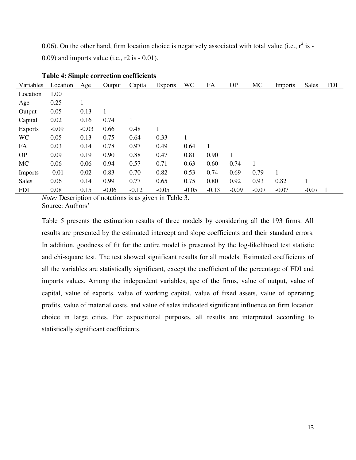0.06). On the other hand, firm location choice is negatively associated with total value (i.e.,  $r^2$  is -0.09) and imports value (i.e., r2 is - 0.01).

| Variables      | Location | Age     | Output  | Capital | <b>Exports</b> | <b>WC</b> | FA      | <b>OP</b> | MC           | Imports | <b>Sales</b> | <b>FDI</b> |
|----------------|----------|---------|---------|---------|----------------|-----------|---------|-----------|--------------|---------|--------------|------------|
| Location       | 1.00     |         |         |         |                |           |         |           |              |         |              |            |
| Age            | 0.25     | 1       |         |         |                |           |         |           |              |         |              |            |
| Output         | 0.05     | 0.13    | 1       |         |                |           |         |           |              |         |              |            |
| Capital        | 0.02     | 0.16    | 0.74    | 1       |                |           |         |           |              |         |              |            |
| <b>Exports</b> | $-0.09$  | $-0.03$ | 0.66    | 0.48    | 1              |           |         |           |              |         |              |            |
| <b>WC</b>      | 0.05     | 0.13    | 0.75    | 0.64    | 0.33           | 1         |         |           |              |         |              |            |
| FA             | 0.03     | 0.14    | 0.78    | 0.97    | 0.49           | 0.64      | 1       |           |              |         |              |            |
| <b>OP</b>      | 0.09     | 0.19    | 0.90    | 0.88    | 0.47           | 0.81      | 0.90    | 1         |              |         |              |            |
| MC             | 0.06     | 0.06    | 0.94    | 0.57    | 0.71           | 0.63      | 0.60    | 0.74      | $\mathbf{1}$ |         |              |            |
| <b>Imports</b> | $-0.01$  | 0.02    | 0.83    | 0.70    | 0.82           | 0.53      | 0.74    | 0.69      | 0.79         | 1       |              |            |
| <b>Sales</b>   | 0.06     | 0.14    | 0.99    | 0.77    | 0.65           | 0.75      | 0.80    | 0.92      | 0.93         | 0.82    |              |            |
| <b>FDI</b>     | 0.08     | 0.15    | $-0.06$ | $-0.12$ | $-0.05$        | $-0.05$   | $-0.13$ | $-0.09$   | $-0.07$      | $-0.07$ | $-0.07$      |            |

|  | <b>Table 4: Simple correction coefficients</b> |  |
|--|------------------------------------------------|--|
|--|------------------------------------------------|--|

*Note:* Description of notations is as given in Table 3. Source: Authors'

Table 5 presents the estimation results of three models by considering all the 193 firms. All results are presented by the estimated intercept and slope coefficients and their standard errors. In addition, goodness of fit for the entire model is presented by the log-likelihood test statistic and chi-square test. The test showed significant results for all models. Estimated coefficients of all the variables are statistically significant, except the coefficient of the percentage of FDI and imports values. Among the independent variables, age of the firms, value of output, value of capital, value of exports, value of working capital, value of fixed assets, value of operating profits, value of material costs, and value of sales indicated significant influence on firm location choice in large cities. For expositional purposes, all results are interpreted according to statistically significant coefficients.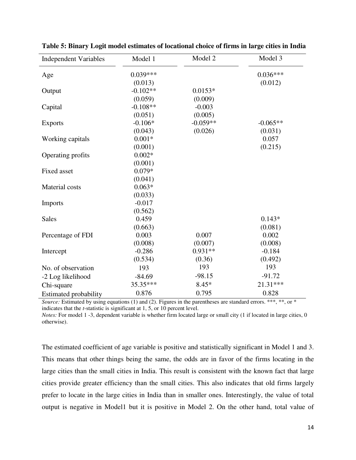| <b>Independent Variables</b> | Model 1    | Model 2    | Model 3    |
|------------------------------|------------|------------|------------|
| Age                          | $0.039***$ |            | $0.036***$ |
|                              | (0.013)    |            | (0.012)    |
| Output                       | $-0.102**$ | $0.0153*$  |            |
|                              | (0.059)    | (0.009)    |            |
| Capital                      | $-0.108**$ | $-0.003$   |            |
|                              | (0.051)    | (0.005)    |            |
| <b>Exports</b>               | $-0.106*$  | $-0.059**$ | $-0.065**$ |
|                              | (0.043)    | (0.026)    | (0.031)    |
| Working capitals             | $0.001*$   |            | 0.057      |
|                              | (0.001)    |            | (0.215)    |
| Operating profits            | $0.002*$   |            |            |
|                              | (0.001)    |            |            |
| <b>Fixed asset</b>           | $0.079*$   |            |            |
|                              | (0.041)    |            |            |
| <b>Material</b> costs        | $0.063*$   |            |            |
|                              | (0.033)    |            |            |
| Imports                      | $-0.017$   |            |            |
|                              | (0.562)    |            |            |
| <b>Sales</b>                 | 0.459      |            | $0.143*$   |
|                              | (0.663)    |            | (0.081)    |
| Percentage of FDI            | 0.003      | 0.007      | 0.002      |
|                              | (0.008)    | (0.007)    | (0.008)    |
| Intercept                    | $-0.286$   | $0.931**$  | $-0.184$   |
|                              | (0.534)    | (0.36)     | (0.492)    |
| No. of observation           | 193        | 193        | 193        |
| -2 Log likelihood            | $-84.69$   | $-98.15$   | $-91.72$   |
| Chi-square                   | 35.35***   | $8.45*$    | 21.31***   |
| <b>Estimated probability</b> | 0.876      | 0.795      | 0.828      |

**Table 5: Binary Logit model estimates of locational choice of firms in large cities in India** 

*Source:* Estimated by using equations (1) and (2). Figures in the parentheses are standard errors. \*\*\*, \*\*, or \* indicates that the *t*-statistic is significant at 1, 5, or 10 percent level.

*Notes:* For model 1 -3, dependent variable is whether firm located large or small city (1 if located in large cities, 0 otherwise).

The estimated coefficient of age variable is positive and statistically significant in Model 1 and 3. This means that other things being the same, the odds are in favor of the firms locating in the large cities than the small cities in India. This result is consistent with the known fact that large cities provide greater efficiency than the small cities. This also indicates that old firms largely prefer to locate in the large cities in India than in smaller ones. Interestingly, the value of total output is negative in Model1 but it is positive in Model 2. On the other hand, total value of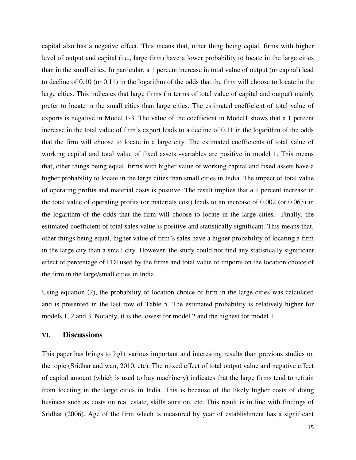capital also has a negative effect. This means that, other thing being equal, firms with higher level of output and capital (i.e., large firm) have a lower probability to locate in the large cities than in the small cities. In particular, a 1 percent increase in total value of output (or capital) lead to decline of 0.10 (or 0.11) in the logarithm of the odds that the firm will choose to locate in the large cities. This indicates that large firms (in terms of total value of capital and output) mainly prefer to locate in the small cities than large cities. The estimated coefficient of total value of exports is negative in Model 1-3. The value of the coefficient in Model1 shows that a 1 percent increase in the total value of firm's export leads to a decline of 0.11 in the logarithm of the odds that the firm will choose to locate in a large city. The estimated coefficients of total value of working capital and total value of fixed assets -variables are positive in model 1. This means that, other things being equal, firms with higher value of working capital and fixed assets have a higher probability to locate in the large cities than small cities in India. The impact of total value of operating profits and material costs is positive. The result implies that a 1 percent increase in the total value of operating profits (or materials cost) leads to an increase of 0.002 (or 0.063) in the logarithm of the odds that the firm will choose to locate in the large cities. Finally, the estimated coefficient of total sales value is positive and statistically significant. This means that, other things being equal, higher value of firm's sales have a higher probability of locating a firm in the large city than a small city. However, the study could not find any statistically significant effect of percentage of FDI used by the firms and total value of imports on the location choice of the firm in the large/small cities in India.

Using equation (2), the probability of location choice of firm in the large cities was calculated and is presented in the last row of Table 5. The estimated probability is relatively higher for models 1, 2 and 3. Notably, it is the lowest for model 2 and the highest for model 1.

## **VI. Discussions**

This paper has brings to light various important and interesting results than previous studies on the topic (Sridhar and wan, 2010, etc). The mixed effect of total output value and negative effect of capital amount (which is used to buy machinery) indicates that the large firms tend to refrain from locating in the large cities in India. This is because of the likely higher costs of doing business such as costs on real estate, skills attrition, etc. This result is in line with findings of Sridhar (2006). Age of the firm which is measured by year of establishment has a significant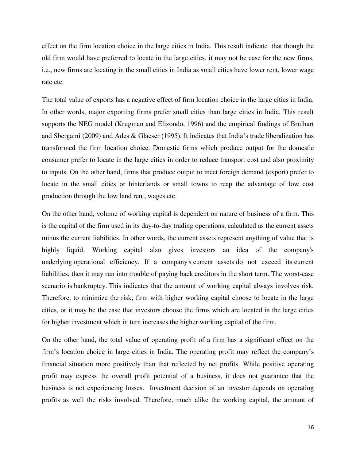effect on the firm location choice in the large cities in India. This result indicate that though the old firm would have preferred to locate in the large cities, it may not be case for the new firms, i.e., new firms are locating in the small cities in India as small cities have lower rent, lower wage rate etc.

The total value of exports has a negative effect of firm location choice in the large cities in India. In other words, major exporting firms prefer small cities than large cities in India. This result supports the NEG model (Krugman and Elizondo, 1996) and the empirical findings of Brülhart and Sbergami (2009) and Ades & Glaeser (1995). It indicates that India's trade liberalization has transformed the firm location choice. Domestic firms which produce output for the domestic consumer prefer to locate in the large cities in order to reduce transport cost and also proximity to inputs. On the other hand, firms that produce output to meet foreign demand (export) prefer to locate in the small cities or hinterlands or small towns to reap the advantage of low cost production through the low land rent, wages etc.

On the other hand, volume of working capital is dependent on nature of business of a firm. This is the capital of the firm used in its day-to-day trading operations, calculated as the current assets minus the current liabilities. In other words, the current assets represent anything of value that is highly liquid. Working capital also gives investors an idea of the company's underlying operational efficiency. If a company's current assets do not exceed its current liabilities, then it may run into trouble of paying back creditors in the short term. The worst-case scenario is bankruptcy. This indicates that the amount of working capital always involves risk. Therefore, to minimize the risk, firm with higher working capital choose to locate in the large cities, or it may be the case that investors choose the firms which are located in the large cities for higher investment which in turn increases the higher working capital of the firm.

On the other hand, the total value of operating profit of a firm has a significant effect on the firm's location choice in large cities in India. The operating profit may reflect the company's financial situation more positively than that reflected by net profits. While positive operating profit may express the overall profit potential of a business, it does not guarantee that the business is not experiencing losses. Investment decision of an investor depends on operating profits as well the risks involved. Therefore, much alike the working capital, the amount of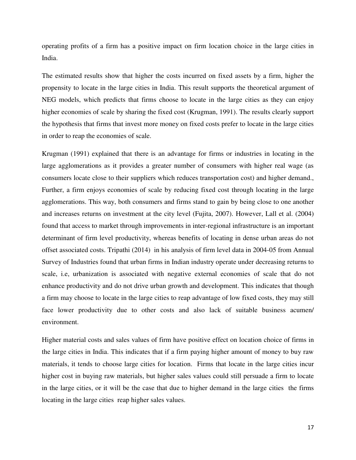operating profits of a firm has a positive impact on firm location choice in the large cities in India.

The estimated results show that higher the costs incurred on fixed assets by a firm, higher the propensity to locate in the large cities in India. This result supports the theoretical argument of NEG models, which predicts that firms choose to locate in the large cities as they can enjoy higher economies of scale by sharing the fixed cost (Krugman, 1991). The results clearly support the hypothesis that firms that invest more money on fixed costs prefer to locate in the large cities in order to reap the economies of scale.

Krugman (1991) explained that there is an advantage for firms or industries in locating in the large agglomerations as it provides a greater number of consumers with higher real wage (as consumers locate close to their suppliers which reduces transportation cost) and higher demand., Further, a firm enjoys economies of scale by reducing fixed cost through locating in the large agglomerations. This way, both consumers and firms stand to gain by being close to one another and increases returns on investment at the city level (Fujita, 2007). However, Lall et al. (2004) found that access to market through improvements in inter-regional infrastructure is an important determinant of firm level productivity, whereas benefits of locating in dense urban areas do not offset associated costs. Tripathi (2014) in his analysis of firm level data in 2004-05 from Annual Survey of Industries found that urban firms in Indian industry operate under decreasing returns to scale, i.e, urbanization is associated with negative external economies of scale that do not enhance productivity and do not drive urban growth and development. This indicates that though a firm may choose to locate in the large cities to reap advantage of low fixed costs, they may still face lower productivity due to other costs and also lack of suitable business acumen/ environment.

Higher material costs and sales values of firm have positive effect on location choice of firms in the large cities in India. This indicates that if a firm paying higher amount of money to buy raw materials, it tends to choose large cities for location. Firms that locate in the large cities incur higher cost in buying raw materials, but higher sales values could still persuade a firm to locate in the large cities, or it will be the case that due to higher demand in the large cities the firms locating in the large cities reap higher sales values.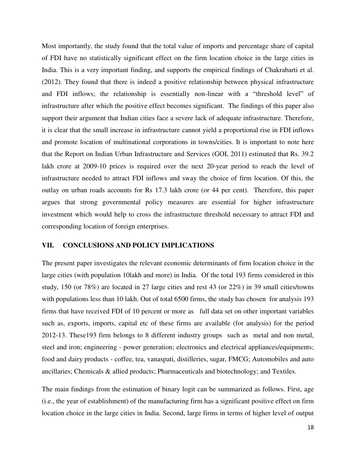Most importantly, the study found that the total value of imports and percentage share of capital of FDI have no statistically significant effect on the firm location choice in the large cities in India. This is a very important finding, and supports the empirical findings of Chakrabarti et al. (2012). They found that there is indeed a positive relationship between physical infrastructure and FDI inflows; the relationship is essentially non-linear with a "threshold level" of infrastructure after which the positive effect becomes significant. The findings of this paper also support their argument that Indian cities face a severe lack of adequate infrastructure. Therefore, it is clear that the small increase in infrastructure cannot yield a proportional rise in FDI inflows and promote location of multinational corporations in towns/cities. It is important to note here that the Report on Indian Urban Infrastructure and Services (GOI, 2011) estimated that Rs. 39.2 lakh crore at 2009-10 prices is required over the next 20-year period to reach the level of infrastructure needed to attract FDI inflows and sway the choice of firm location. Of this, the outlay on urban roads accounts for Rs 17.3 lakh crore (or 44 per cent). Therefore, this paper argues that strong governmental policy measures are essential for higher infrastructure investment which would help to cross the infrastructure threshold necessary to attract FDI and corresponding location of foreign enterprises.

## **VII. CONCLUSIONS AND POLICY IMPLICATIONS**

The present paper investigates the relevant economic determinants of firm location choice in the large cities (with population 10lakh and more) in India. Of the total 193 firms considered in this study, 150 (or 78%) are located in 27 large cities and rest 43 (or 22%) in 39 small cities/towns with populations less than 10 lakh. Out of total 6500 firms, the study has chosen for analysis 193 firms that have received FDI of 10 percent or more as full data set on other important variables such as, exports, imports, capital etc of these firms are available (for analysis) for the period 2012-13. These193 firm belongs to 8 different industry groups such as metal and non metal, steel and iron; engineering - power generation; electronics and electrical appliances/equipments; food and dairy products - coffee, tea, vanaspati, distilleries, sugar, FMCG; Automobiles and auto ancillaries; Chemicals & allied products; Pharmaceuticals and biotechnology; and Textiles.

The main findings from the estimation of binary logit can be summarized as follows. First, age (i.e., the year of establishment) of the manufacturing firm has a significant positive effect on firm location choice in the large cities in India. Second, large firms in terms of higher level of output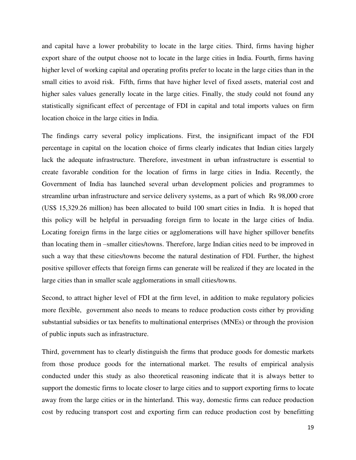and capital have a lower probability to locate in the large cities. Third, firms having higher export share of the output choose not to locate in the large cities in India. Fourth, firms having higher level of working capital and operating profits prefer to locate in the large cities than in the small cities to avoid risk. Fifth, firms that have higher level of fixed assets, material cost and higher sales values generally locate in the large cities. Finally, the study could not found any statistically significant effect of percentage of FDI in capital and total imports values on firm location choice in the large cities in India.

The findings carry several policy implications. First, the insignificant impact of the FDI percentage in capital on the location choice of firms clearly indicates that Indian cities largely lack the adequate infrastructure. Therefore, investment in urban infrastructure is essential to create favorable condition for the location of firms in large cities in India. Recently, the Government of India has launched several urban development policies and programmes to streamline urban infrastructure and service delivery systems, as a part of which Rs 98,000 crore (US\$ 15,329.26 million) has been allocated to build 100 smart cities in India. It is hoped that this policy will be helpful in persuading foreign firm to locate in the large cities of India. Locating foreign firms in the large cities or agglomerations will have higher spillover benefits than locating them in –smaller cities/towns. Therefore, large Indian cities need to be improved in such a way that these cities/towns become the natural destination of FDI. Further, the highest positive spillover effects that foreign firms can generate will be realized if they are located in the large cities than in smaller scale agglomerations in small cities/towns.

Second, to attract higher level of FDI at the firm level, in addition to make regulatory policies more flexible, government also needs to means to reduce production costs either by providing substantial subsidies or tax benefits to multinational enterprises (MNEs) or through the provision of public inputs such as infrastructure.

Third, government has to clearly distinguish the firms that produce goods for domestic markets from those produce goods for the international market. The results of empirical analysis conducted under this study as also theoretical reasoning indicate that it is always better to support the domestic firms to locate closer to large cities and to support exporting firms to locate away from the large cities or in the hinterland. This way, domestic firms can reduce production cost by reducing transport cost and exporting firm can reduce production cost by benefitting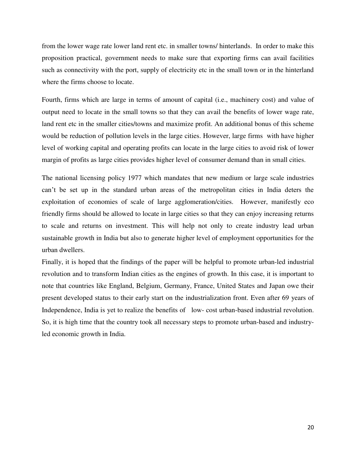from the lower wage rate lower land rent etc. in smaller towns/ hinterlands. In order to make this proposition practical, government needs to make sure that exporting firms can avail facilities such as connectivity with the port, supply of electricity etc in the small town or in the hinterland where the firms choose to locate.

Fourth, firms which are large in terms of amount of capital (i.e., machinery cost) and value of output need to locate in the small towns so that they can avail the benefits of lower wage rate, land rent etc in the smaller cities/towns and maximize profit. An additional bonus of this scheme would be reduction of pollution levels in the large cities. However, large firms with have higher level of working capital and operating profits can locate in the large cities to avoid risk of lower margin of profits as large cities provides higher level of consumer demand than in small cities.

The national licensing policy 1977 which mandates that new medium or large scale industries can't be set up in the standard urban areas of the metropolitan cities in India deters the exploitation of economies of scale of large agglomeration/cities. However, manifestly eco friendly firms should be allowed to locate in large cities so that they can enjoy increasing returns to scale and returns on investment. This will help not only to create industry lead urban sustainable growth in India but also to generate higher level of employment opportunities for the urban dwellers.

Finally, it is hoped that the findings of the paper will be helpful to promote urban-led industrial revolution and to transform Indian cities as the engines of growth. In this case, it is important to note that countries like England, Belgium, Germany, France, United States and Japan owe their present developed status to their early start on the industrialization front. Even after 69 years of Independence, India is yet to realize the benefits of low- cost urban-based industrial revolution. So, it is high time that the country took all necessary steps to promote urban-based and industryled economic growth in India.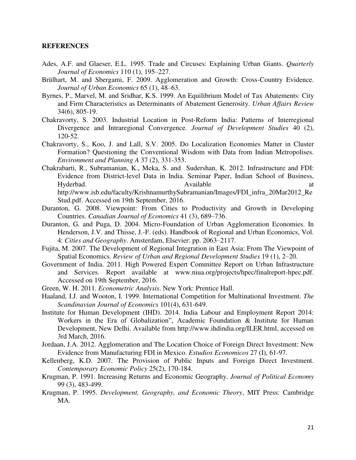### **REFERENCES**

- Ades, A.F. and Glaeser, E.L. 1995. Trade and Circuses: Explaining Urban Giants. *Quarterly Journal of Economics* 110 (1), 195–227.
- Brülhart, M. and Sbergami, F. 2009. Agglomeration and Growth: Cross-Country Evidence. *Journal of Urban Economics* 65 (1), 48–63.
- Byrnes, P., Marvel, M. and Sridhar, K.S. 1999. An Equilibrium Model of Tax Abatements: City and Firm Characteristics as Determinants of Abatement Generosity. *Urban Affairs Review*  34(6), 805-19.
- Chakravorty, S. 2003. Industrial Location in Post‐Reform India: Patterns of Interregional Divergence and Intraregional Convergence*. Journal of Development Studies* 40 (2), 120‐52.
- Chakravorty, S., Koo, J. and Lall, S.V. 2005. Do Localization Economies Matter in Cluster Formation? Questioning the Conventional Wisdom with Data from Indian Metropolises. *Environment and Planning A* 37 (2), 331-353.
- Chakrabarti, R., Subramanian, K., Meka, S. and Sudershan, K. 2012. Infrastructure and FDI: Evidence from District-level Data in India. Seminar Paper, Indian School of Business, Hyderbad. a contract a contract a contract a contract a contract a contract a contract a contract a contract a contract a contract a contract a contract a contract a contract a contract a contract a contract a contract a c http://www.isb.edu/faculty/KrishnamurthySubramanian/Images/FDI\_infra\_20Mar2012\_Re Stud.pdf. Accessed on 19th September, 2016.
- Duranton, G. 2008. Viewpoint: From Cities to Productivity and Growth in Developing Countries. *Canadian Journal of Economics* 41 (3), 689–736.
- Duranton, G. and Puga, D. 2004. Micro-Foundation of Urban Agglomeration Economies. In Henderson, J.V. and Thisse, J.-F. (eds). Handbook of Regional and Urban Economics, Vol. 4: *Cities and Geography*. Amsterdam, Elsevier: pp. 2063–2117.
- Fujita, M. 2007. The Development of Regional Integration in East Asia: From The Viewpoint of Spatial Economics. *Review of Urban and Regional Development Studies* 19 (1), 2–20.
- Government of India. 2011. High Powered Expert Committee Report on Urban Infrastructure and Services. Report available at www.niua.org/projects/hpec/finalreport-hpec.pdf. Accessed on 19th September, 2016.
- Green, W. H. 2011. *Econometric Analysis*. New York: Prentice Hall.
- Haaland, I.J. and Wooton, I. 1999. International Competition for Multinational Investment. *The Scandinavian Journal of Economics* 101(4), 631-649.
- Institute for Human Development (IHD). 2014. India Labour and Employment Report 2014: Workers in the Era of Globalization", Academic Foundation & Institute for Human Development, New Delhi. Available from http://www.ihdindia.org/ILER.html, accessed on 3rd March, 2016.
- Jordaan, J.A. 2012. Agglomeration and The Location Choice of Foreign Direct Investment: New Evidence from Manufacturing FDI in Mexico. *Estudios Economicos* 27 (I), 61-97.
- Kellenberg, K.D. 2007. The Provision of Public Inputs and Foreign Direct Investment. *Contemporary Economic Policy* 25(2), 170-184.
- Krugman, P. 1991. Increasing Returns and Economic Geography. *Journal of Political Economy* 99 (3), 483-499.
- Krugman, P. 1995. *Development, Geography, and Economic Theory*, MIT Press: Cambridge MA.